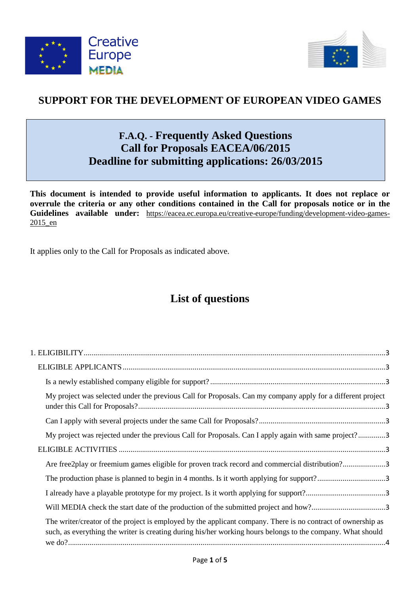



## **SUPPORT FOR THE DEVELOPMENT OF EUROPEAN VIDEO GAMES**

# **F.A.Q. - Frequently Asked Questions Call for Proposals EACEA/06/2015 Deadline for submitting applications: 26/03/2015**

**This document is intended to provide useful information to applicants. It does not replace or overrule the criteria or any other conditions contained in the Call for proposals notice or in the Guidelines available under:** [https://eacea.ec.europa.eu/creative-europe/funding/development-video-games-](https://eacea.ec.europa.eu/creative-europe/funding/development-video-games-2015_en)[2015\\_en](https://eacea.ec.europa.eu/creative-europe/funding/development-video-games-2015_en)

It applies only to the Call for Proposals as indicated above.

# **List of questions**

| My project was selected under the previous Call for Proposals. Can my company apply for a different project                                                                                                                 |
|-----------------------------------------------------------------------------------------------------------------------------------------------------------------------------------------------------------------------------|
|                                                                                                                                                                                                                             |
| My project was rejected under the previous Call for Proposals. Can I apply again with same project?3                                                                                                                        |
|                                                                                                                                                                                                                             |
| Are free2play or freemium games eligible for proven track record and commercial distribution?3                                                                                                                              |
|                                                                                                                                                                                                                             |
|                                                                                                                                                                                                                             |
|                                                                                                                                                                                                                             |
| The writer/creator of the project is employed by the applicant company. There is no contract of ownership as<br>such, as everything the writer is creating during his/her working hours belongs to the company. What should |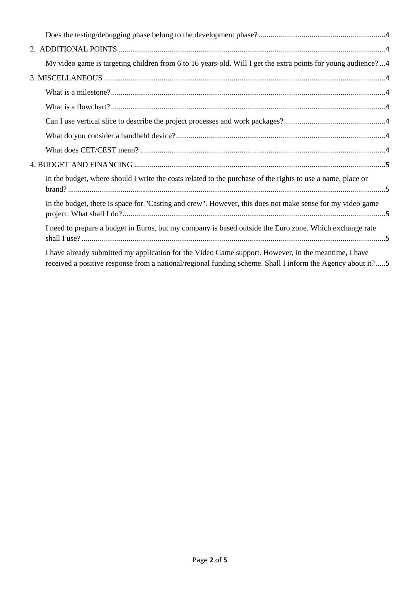| My video game is targeting children from 6 to 16 years-old. Will I get the extra points for young audience?4                                                                                                       |  |
|--------------------------------------------------------------------------------------------------------------------------------------------------------------------------------------------------------------------|--|
|                                                                                                                                                                                                                    |  |
|                                                                                                                                                                                                                    |  |
|                                                                                                                                                                                                                    |  |
|                                                                                                                                                                                                                    |  |
|                                                                                                                                                                                                                    |  |
|                                                                                                                                                                                                                    |  |
|                                                                                                                                                                                                                    |  |
| In the budget, where should I write the costs related to the purchase of the rights to use a name, place or                                                                                                        |  |
| In the budget, there is space for "Casting and crew". However, this does not make sense for my video game                                                                                                          |  |
| I need to prepare a budget in Euros, but my company is based outside the Euro zone. Which exchange rate                                                                                                            |  |
| I have already submitted my application for the Video Game support. However, in the meantime, I have<br>received a positive response from a national/regional funding scheme. Shall I inform the Agency about it?5 |  |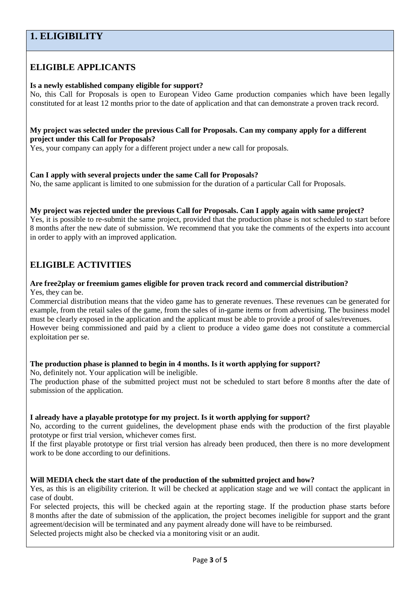## <span id="page-2-0"></span>**1. ELIGIBILITY**

### <span id="page-2-1"></span>**ELIGIBLE APPLICANTS**

#### <span id="page-2-2"></span>**Is a newly established company eligible for support?**

No, this Call for Proposals is open to European Video Game production companies which have been legally constituted for at least 12 months prior to the date of application and that can demonstrate a proven track record.

#### <span id="page-2-3"></span>**My project was selected under the previous Call for Proposals. Can my company apply for a different project under this Call for Proposals?**

Yes, your company can apply for a different project under a new call for proposals.

#### <span id="page-2-4"></span>**Can I apply with several projects under the same Call for Proposals?**

No, the same applicant is limited to one submission for the duration of a particular Call for Proposals.

## <span id="page-2-5"></span>**My project was rejected under the previous Call for Proposals. Can I apply again with same project?**

Yes, it is possible to re-submit the same project, provided that the production phase is not scheduled to start before 8 months after the new date of submission. We recommend that you take the comments of the experts into account in order to apply with an improved application.

### <span id="page-2-6"></span>**ELIGIBLE ACTIVITIES**

#### <span id="page-2-7"></span>**Are free2play or freemium games eligible for proven track record and commercial distribution?** Yes, they can be.

Commercial distribution means that the video game has to generate revenues. These revenues can be generated for example, from the retail sales of the game, from the sales of in-game items or from advertising. The business model must be clearly exposed in the application and the applicant must be able to provide a proof of sales/revenues. However being commissioned and paid by a client to produce a video game does not constitute a commercial exploitation per se.

#### <span id="page-2-8"></span>**The production phase is planned to begin in 4 months. Is it worth applying for support?**

No, definitely not. Your application will be ineligible.

The production phase of the submitted project must not be scheduled to start before 8 months after the date of submission of the application.

#### <span id="page-2-9"></span>**I already have a playable prototype for my project. Is it worth applying for support?**

No, according to the current guidelines, the development phase ends with the production of the first playable prototype or first trial version, whichever comes first.

If the first playable prototype or first trial version has already been produced, then there is no more development work to be done according to our definitions.

#### <span id="page-2-10"></span>**Will MEDIA check the start date of the production of the submitted project and how?**

Yes, as this is an eligibility criterion. It will be checked at application stage and we will contact the applicant in case of doubt.

For selected projects, this will be checked again at the reporting stage. If the production phase starts before 8 months after the date of submission of the application, the project becomes ineligible for support and the grant agreement/decision will be terminated and any payment already done will have to be reimbursed.

Selected projects might also be checked via a monitoring visit or an audit.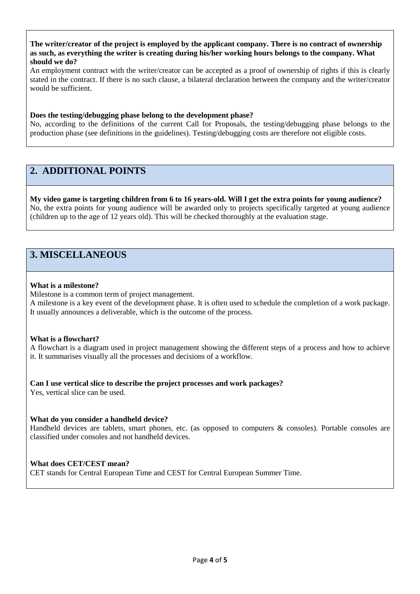<span id="page-3-0"></span>**The writer/creator of the project is employed by the applicant company. There is no contract of ownership as such, as everything the writer is creating during his/her working hours belongs to the company. What should we do?**

An employment contract with the writer/creator can be accepted as a proof of ownership of rights if this is clearly stated in the contract. If there is no such clause, a bilateral declaration between the company and the writer/creator would be sufficient.

#### <span id="page-3-1"></span>**Does the testing/debugging phase belong to the development phase?**

No, according to the definitions of the current Call for Proposals, the testing/debugging phase belongs to the production phase (see definitions in the guidelines). Testing/debugging costs are therefore not eligible costs.

## <span id="page-3-2"></span>**2. ADDITIONAL POINTS**

<span id="page-3-3"></span>**My video game is targeting children from 6 to 16 years-old. Will I get the extra points for young audience?** No, the extra points for young audience will be awarded only to projects specifically targeted at young audience (children up to the age of 12 years old). This will be checked thoroughly at the evaluation stage.

## <span id="page-3-4"></span>**3. MISCELLANEOUS**

#### <span id="page-3-5"></span>**What is a milestone?**

Milestone is a common term of project management.

A milestone is a key event of the development phase. It is often used to schedule the completion of a work package. It usually announces a deliverable, which is the outcome of the process.

#### <span id="page-3-6"></span>**What is a flowchart?**

A flowchart is a diagram used in project management showing the different steps of a process and how to achieve it. It summarises visually all the processes and decisions of a workflow.

#### <span id="page-3-7"></span>**Can I use vertical slice to describe the project processes and work packages?**

Yes, vertical slice can be used.

#### <span id="page-3-8"></span>**What do you consider a handheld device?**

Handheld devices are tablets, smart phones, etc. (as opposed to computers & consoles). Portable consoles are classified under consoles and not handheld devices.

#### <span id="page-3-9"></span>**What does CET/CEST mean?**

CET stands for Central European Time and CEST for Central European Summer Time.